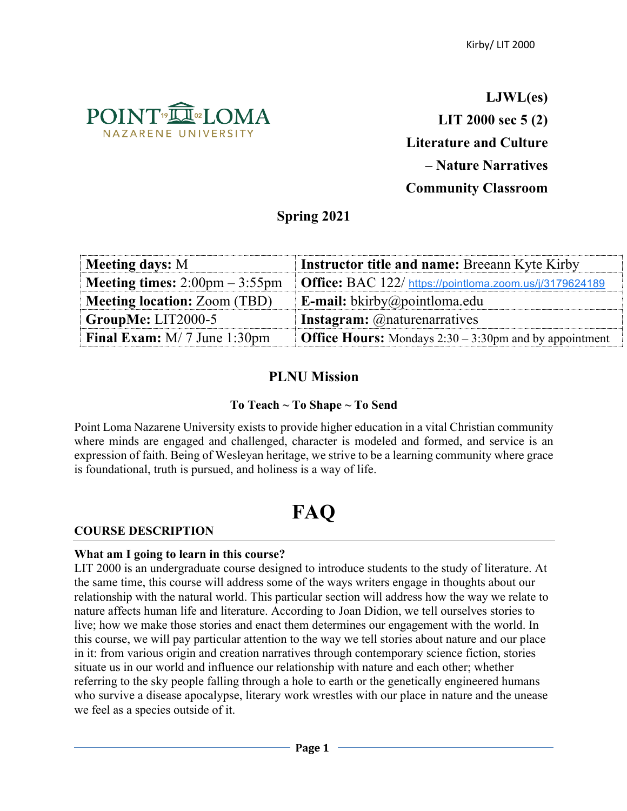

**LJWL(es) LIT 2000 sec 5 (2) Literature and Culture – Nature Narratives Community Classroom**

# **Spring 2021**

| <b>Meeting days: M</b>                                  | <b>Instructor title and name: Breeann Kyte Kirby</b>             |
|---------------------------------------------------------|------------------------------------------------------------------|
| <b>Meeting times:</b> $2:00 \text{pm} - 3:55 \text{pm}$ | Office: BAC 122/ https://pointloma.zoom.us/j/3179624189          |
| <b>Meeting location: Zoom (TBD)</b>                     | <b>E-mail:</b> bkirby@pointloma.edu                              |
| GroupMe: LIT2000-5                                      | <b>Instagram:</b> @naturenarratives                              |
| <b>Final Exam:</b> $M/7$ June 1:30pm                    | <b>Office Hours:</b> Mondays $2:30 - 3:30$ pm and by appointment |

# **PLNU Mission**

# **To Teach ~ To Shape ~ To Send**

Point Loma Nazarene University exists to provide higher education in a vital Christian community where minds are engaged and challenged, character is modeled and formed, and service is an expression of faith. Being of Wesleyan heritage, we strive to be a learning community where grace is foundational, truth is pursued, and holiness is a way of life.

# **FAQ**

# **COURSE DESCRIPTION**

## **What am I going to learn in this course?**

LIT 2000 is an undergraduate course designed to introduce students to the study of literature. At the same time, this course will address some of the ways writers engage in thoughts about our relationship with the natural world. This particular section will address how the way we relate to nature affects human life and literature. According to Joan Didion, we tell ourselves stories to live; how we make those stories and enact them determines our engagement with the world. In this course, we will pay particular attention to the way we tell stories about nature and our place in it: from various origin and creation narratives through contemporary science fiction, stories situate us in our world and influence our relationship with nature and each other; whether referring to the sky people falling through a hole to earth or the genetically engineered humans who survive a disease apocalypse, literary work wrestles with our place in nature and the unease we feel as a species outside of it.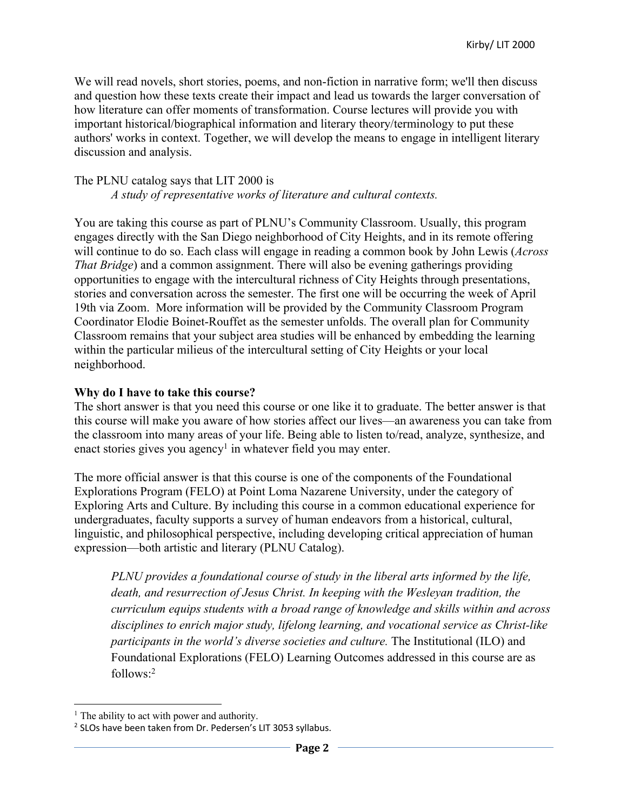We will read novels, short stories, poems, and non-fiction in narrative form; we'll then discuss and question how these texts create their impact and lead us towards the larger conversation of how literature can offer moments of transformation. Course lectures will provide you with important historical/biographical information and literary theory/terminology to put these authors' works in context. Together, we will develop the means to engage in intelligent literary discussion and analysis.

## The PLNU catalog says that LIT 2000 is

*A study of representative works of literature and cultural contexts.*

You are taking this course as part of PLNU's Community Classroom. Usually, this program engages directly with the San Diego neighborhood of City Heights, and in its remote offering will continue to do so. Each class will engage in reading a common book by John Lewis (*Across That Bridge*) and a common assignment. There will also be evening gatherings providing opportunities to engage with the intercultural richness of City Heights through presentations, stories and conversation across the semester. The first one will be occurring the week of April 19th via Zoom. More information will be provided by the Community Classroom Program Coordinator Elodie Boinet-Rouffet as the semester unfolds. The overall plan for Community Classroom remains that your subject area studies will be enhanced by embedding the learning within the particular milieus of the intercultural setting of City Heights or your local neighborhood.

## **Why do I have to take this course?**

The short answer is that you need this course or one like it to graduate. The better answer is that this course will make you aware of how stories affect our lives—an awareness you can take from the classroom into many areas of your life. Being able to listen to/read, analyze, synthesize, and enact stories gives you agency<sup>1</sup> in whatever field you may enter.

The more official answer is that this course is one of the components of the Foundational Explorations Program (FELO) at Point Loma Nazarene University, under the category of Exploring Arts and Culture. By including this course in a common educational experience for undergraduates, faculty supports a survey of human endeavors from a historical, cultural, linguistic, and philosophical perspective, including developing critical appreciation of human expression—both artistic and literary (PLNU Catalog).

*PLNU provides a foundational course of study in the liberal arts informed by the life, death, and resurrection of Jesus Christ. In keeping with the Wesleyan tradition, the curriculum equips students with a broad range of knowledge and skills within and across disciplines to enrich major study, lifelong learning, and vocational service as Christ-like participants in the world's diverse societies and culture.* The Institutional (ILO) and Foundational Explorations (FELO) Learning Outcomes addressed in this course are as follows:2

 $<sup>1</sup>$  The ability to act with power and authority.</sup>

<sup>2</sup> SLOs have been taken from Dr. Pedersen's LIT 3053 syllabus.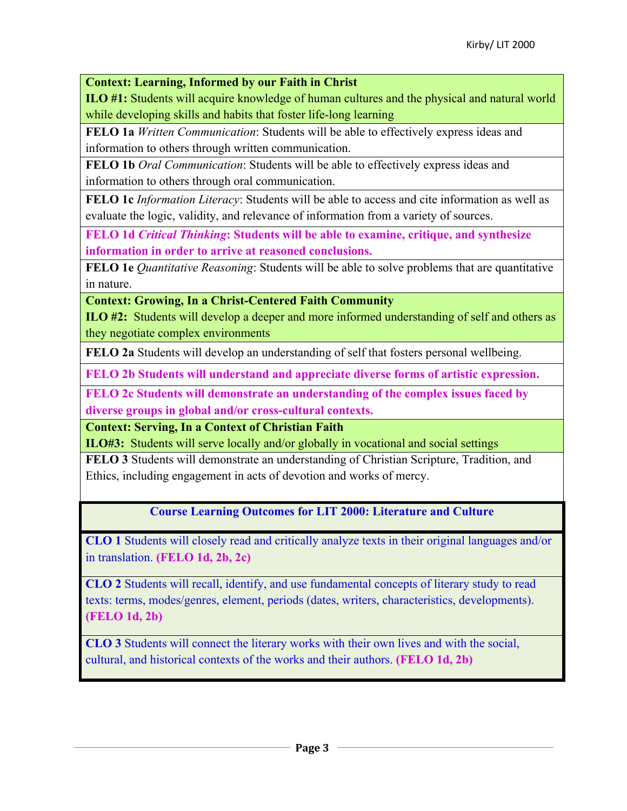**Context: Learning, Informed by our Faith in Christ**

**ILO #1:** Students will acquire knowledge of human cultures and the physical and natural world while developing skills and habits that foster life-long learning

**FELO 1a** *Written Communication*: Students will be able to effectively express ideas and information to others through written communication.

**FELO 1b** *Oral Communication*: Students will be able to effectively express ideas and information to others through oral communication.

**FELO 1c** *Information Literacy*: Students will be able to access and cite information as well as evaluate the logic, validity, and relevance of information from a variety of sources.

**FELO 1d** *Critical Thinking***: Students will be able to examine, critique, and synthesize information in order to arrive at reasoned conclusions.**

**FELO 1e** *Quantitative Reasoning*: Students will be able to solve problems that are quantitative in nature.

**Context: Growing, In a Christ-Centered Faith Community**

**ILO #2:** Students will develop a deeper and more informed understanding of self and others as they negotiate complex environments

**FELO 2a** Students will develop an understanding of self that fosters personal wellbeing.

**FELO 2b Students will understand and appreciate diverse forms of artistic expression.** 

**FELO 2c Students will demonstrate an understanding of the complex issues faced by diverse groups in global and/or cross-cultural contexts.** 

**Context: Serving, In a Context of Christian Faith**

**ILO#3:** Students will serve locally and/or globally in vocational and social settings

**FELO 3** Students will demonstrate an understanding of Christian Scripture, Tradition, and Ethics, including engagement in acts of devotion and works of mercy.

**Course Learning Outcomes for LIT 2000: Literature and Culture**

**CLO 1** Students will closely read and critically analyze texts in their original languages and/or in translation. **(FELO 1d, 2b, 2c)**

**CLO 2** Students will recall, identify, and use fundamental concepts of literary study to read texts: terms, modes/genres, element, periods (dates, writers, characteristics, developments). **(FELO 1d, 2b)**

**CLO 3** Students will connect the literary works with their own lives and with the social, cultural, and historical contexts of the works and their authors. **(FELO 1d, 2b)**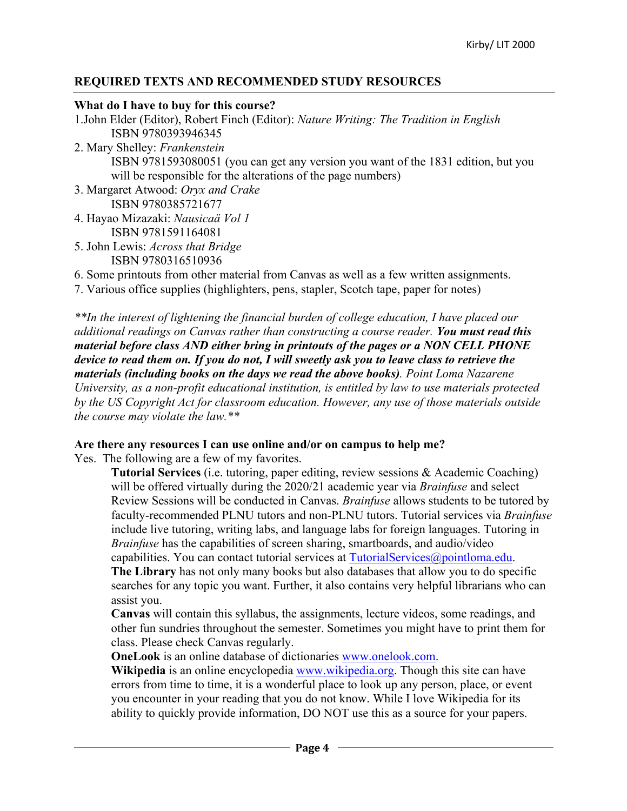# **REQUIRED TEXTS AND RECOMMENDED STUDY RESOURCES**

## **What do I have to buy for this course?**

- 1.John Elder (Editor), Robert Finch (Editor): *Nature Writing: The Tradition in English* ISBN 9780393946345
- 2. Mary Shelley: *Frankenstein* ISBN 9781593080051 (you can get any version you want of the 1831 edition, but you will be responsible for the alterations of the page numbers)
- 3. Margaret Atwood: *Oryx and Crake* ISBN 9780385721677
- 4. Hayao Mizazaki: *Nausicaä Vol 1* ISBN 9781591164081
- 5. John Lewis: *Across that Bridge* ISBN 9780316510936
- 6. Some printouts from other material from Canvas as well as a few written assignments.

7. Various office supplies (highlighters, pens, stapler, Scotch tape, paper for notes)

*\*\*In the interest of lightening the financial burden of college education, I have placed our additional readings on Canvas rather than constructing a course reader. You must read this material before class AND either bring in printouts of the pages or a NON CELL PHONE device to read them on. If you do not, I will sweetly ask you to leave class to retrieve the materials (including books on the days we read the above books). Point Loma Nazarene University, as a non-profit educational institution, is entitled by law to use materials protected by the US Copyright Act for classroom education. However, any use of those materials outside the course may violate the law.\*\**

# **Are there any resources I can use online and/or on campus to help me?**

Yes. The following are a few of my favorites.

**Tutorial Services** (i.e. tutoring, paper editing, review sessions & Academic Coaching) will be offered virtually during the 2020/21 academic year via *Brainfuse* and select Review Sessions will be conducted in Canvas. *Brainfuse* allows students to be tutored by faculty-recommended PLNU tutors and non-PLNU tutors. Tutorial services via *Brainfuse* include live tutoring, writing labs, and language labs for foreign languages. Tutoring in *Brainfuse* has the capabilities of screen sharing, smartboards, and audio/video capabilities. You can contact tutorial services at TutorialServices@pointloma.edu.

**The Library** has not only many books but also databases that allow you to do specific searches for any topic you want. Further, it also contains very helpful librarians who can assist you.

**Canvas** will contain this syllabus, the assignments, lecture videos, some readings, and other fun sundries throughout the semester. Sometimes you might have to print them for class. Please check Canvas regularly.

**OneLook** is an online database of dictionaries www.onelook.com.

Wikipedia is an online encyclopedia www.wikipedia.org. Though this site can have errors from time to time, it is a wonderful place to look up any person, place, or event you encounter in your reading that you do not know. While I love Wikipedia for its ability to quickly provide information, DO NOT use this as a source for your papers.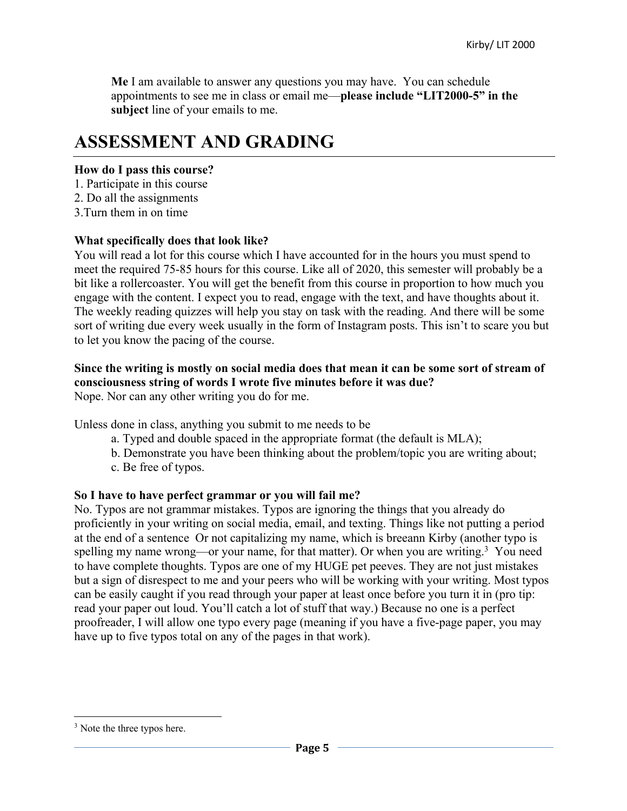**Me** I am available to answer any questions you may have. You can schedule appointments to see me in class or email me—**please include "LIT2000-5" in the subject** line of your emails to me.

# **ASSESSMENT AND GRADING**

## **How do I pass this course?**

- 1. Participate in this course
- 2. Do all the assignments
- 3.Turn them in on time

## **What specifically does that look like?**

You will read a lot for this course which I have accounted for in the hours you must spend to meet the required 75-85 hours for this course. Like all of 2020, this semester will probably be a bit like a rollercoaster. You will get the benefit from this course in proportion to how much you engage with the content. I expect you to read, engage with the text, and have thoughts about it. The weekly reading quizzes will help you stay on task with the reading. And there will be some sort of writing due every week usually in the form of Instagram posts. This isn't to scare you but to let you know the pacing of the course.

# **Since the writing is mostly on social media does that mean it can be some sort of stream of consciousness string of words I wrote five minutes before it was due?**

Nope. Nor can any other writing you do for me.

Unless done in class, anything you submit to me needs to be

- a. Typed and double spaced in the appropriate format (the default is MLA);
- b. Demonstrate you have been thinking about the problem/topic you are writing about;
- c. Be free of typos.

# **So I have to have perfect grammar or you will fail me?**

No. Typos are not grammar mistakes. Typos are ignoring the things that you already do proficiently in your writing on social media, email, and texting. Things like not putting a period at the end of a sentence Or not capitalizing my name, which is breeann Kirby (another typo is spelling my name wrong—or your name, for that matter). Or when you are writing.<sup>3</sup> You need to have complete thoughts. Typos are one of my HUGE pet peeves. They are not just mistakes but a sign of disrespect to me and your peers who will be working with your writing. Most typos can be easily caught if you read through your paper at least once before you turn it in (pro tip: read your paper out loud. You'll catch a lot of stuff that way.) Because no one is a perfect proofreader, I will allow one typo every page (meaning if you have a five-page paper, you may have up to five typos total on any of the pages in that work).

 $3$  Note the three typos here.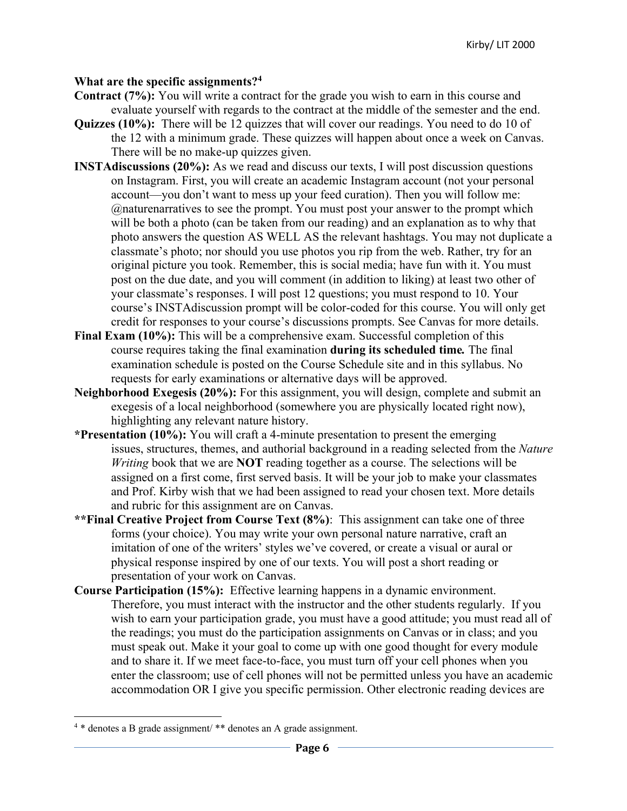#### **What are the specific assignments?4**

- **Contract (7%):** You will write a contract for the grade you wish to earn in this course and evaluate yourself with regards to the contract at the middle of the semester and the end.
- **Quizzes (10%):** There will be 12 quizzes that will cover our readings. You need to do 10 of the 12 with a minimum grade. These quizzes will happen about once a week on Canvas. There will be no make-up quizzes given.
- **INSTAdiscussions (20%):** As we read and discuss our texts, I will post discussion questions on Instagram. First, you will create an academic Instagram account (not your personal account—you don't want to mess up your feed curation). Then you will follow me: @naturenarratives to see the prompt. You must post your answer to the prompt which will be both a photo (can be taken from our reading) and an explanation as to why that photo answers the question AS WELL AS the relevant hashtags. You may not duplicate a classmate's photo; nor should you use photos you rip from the web. Rather, try for an original picture you took. Remember, this is social media; have fun with it. You must post on the due date, and you will comment (in addition to liking) at least two other of your classmate's responses. I will post 12 questions; you must respond to 10. Your course's INSTAdiscussion prompt will be color-coded for this course. You will only get credit for responses to your course's discussions prompts. See Canvas for more details.
- **Final Exam (10%):** This will be a comprehensive exam. Successful completion of this course requires taking the final examination **during its scheduled time***.* The final examination schedule is posted on the Course Schedule site and in this syllabus. No requests for early examinations or alternative days will be approved.
- **Neighborhood Exegesis (20%):** For this assignment, you will design, complete and submit an exegesis of a local neighborhood (somewhere you are physically located right now), highlighting any relevant nature history.
- **\*Presentation (10%):** You will craft a 4-minute presentation to present the emerging issues, structures, themes, and authorial background in a reading selected from the *Nature Writing* book that we are **NOT** reading together as a course. The selections will be assigned on a first come, first served basis. It will be your job to make your classmates and Prof. Kirby wish that we had been assigned to read your chosen text. More details and rubric for this assignment are on Canvas.
- **\*\*Final Creative Project from Course Text (8%)**: This assignment can take one of three forms (your choice). You may write your own personal nature narrative, craft an imitation of one of the writers' styles we've covered, or create a visual or aural or physical response inspired by one of our texts. You will post a short reading or presentation of your work on Canvas.
- **Course Participation (15%):** Effective learning happens in a dynamic environment. Therefore, you must interact with the instructor and the other students regularly. If you wish to earn your participation grade, you must have a good attitude; you must read all of the readings; you must do the participation assignments on Canvas or in class; and you must speak out. Make it your goal to come up with one good thought for every module and to share it. If we meet face-to-face, you must turn off your cell phones when you enter the classroom; use of cell phones will not be permitted unless you have an academic accommodation OR I give you specific permission. Other electronic reading devices are

<sup>4</sup> \* denotes a B grade assignment/ \*\* denotes an A grade assignment.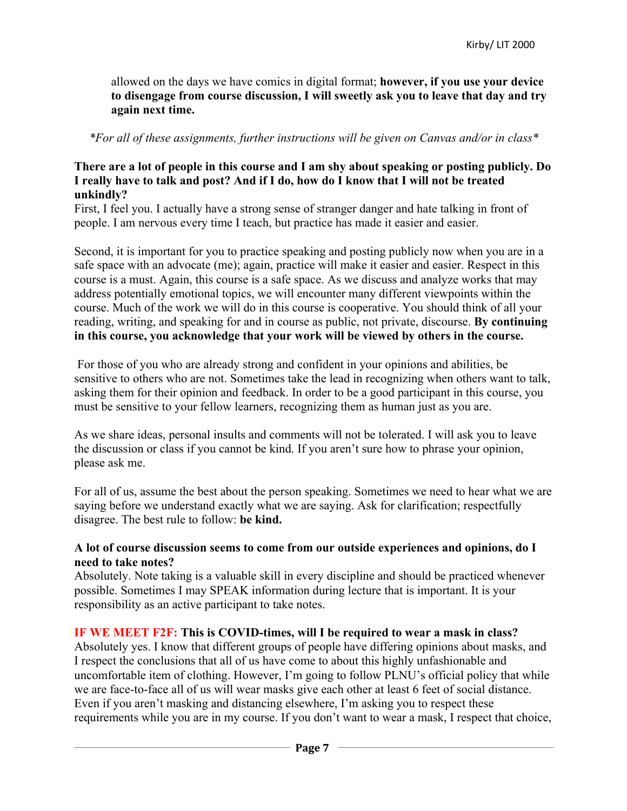allowed on the days we have comics in digital format; **however, if you use your device to disengage from course discussion, I will sweetly ask you to leave that day and try again next time.**

*\*For all of these assignments, further instructions will be given on Canvas and/or in class\**

## **There are a lot of people in this course and I am shy about speaking or posting publicly. Do I really have to talk and post? And if I do, how do I know that I will not be treated unkindly?**

First, I feel you. I actually have a strong sense of stranger danger and hate talking in front of people. I am nervous every time I teach, but practice has made it easier and easier.

Second, it is important for you to practice speaking and posting publicly now when you are in a safe space with an advocate (me); again, practice will make it easier and easier. Respect in this course is a must. Again, this course is a safe space. As we discuss and analyze works that may address potentially emotional topics, we will encounter many different viewpoints within the course. Much of the work we will do in this course is cooperative. You should think of all your reading, writing, and speaking for and in course as public, not private, discourse. **By continuing in this course, you acknowledge that your work will be viewed by others in the course.**

For those of you who are already strong and confident in your opinions and abilities, be sensitive to others who are not. Sometimes take the lead in recognizing when others want to talk, asking them for their opinion and feedback. In order to be a good participant in this course, you must be sensitive to your fellow learners, recognizing them as human just as you are.

As we share ideas, personal insults and comments will not be tolerated. I will ask you to leave the discussion or class if you cannot be kind. If you aren't sure how to phrase your opinion, please ask me.

For all of us, assume the best about the person speaking. Sometimes we need to hear what we are saying before we understand exactly what we are saying. Ask for clarification; respectfully disagree. The best rule to follow: **be kind.**

#### **A lot of course discussion seems to come from our outside experiences and opinions, do I need to take notes?**

Absolutely. Note taking is a valuable skill in every discipline and should be practiced whenever possible. Sometimes I may SPEAK information during lecture that is important. It is your responsibility as an active participant to take notes.

## **IF WE MEET F2F: This is COVID-times, will I be required to wear a mask in class?**

Absolutely yes. I know that different groups of people have differing opinions about masks, and I respect the conclusions that all of us have come to about this highly unfashionable and uncomfortable item of clothing. However, I'm going to follow PLNU's official policy that while we are face-to-face all of us will wear masks give each other at least 6 feet of social distance. Even if you aren't masking and distancing elsewhere, I'm asking you to respect these requirements while you are in my course. If you don't want to wear a mask, I respect that choice,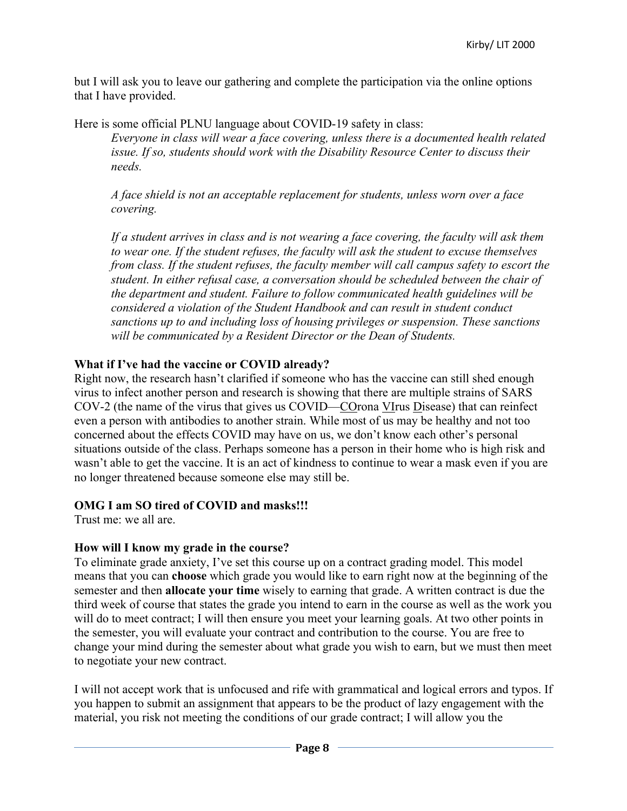but I will ask you to leave our gathering and complete the participation via the online options that I have provided.

Here is some official PLNU language about COVID-19 safety in class: *Everyone in class will wear a face covering, unless there is a documented health related issue. If so, students should work with the Disability Resource Center to discuss their needs.* 

*A face shield is not an acceptable replacement for students, unless worn over a face covering.* 

*If a student arrives in class and is not wearing a face covering, the faculty will ask them to wear one. If the student refuses, the faculty will ask the student to excuse themselves from class. If the student refuses, the faculty member will call campus safety to escort the student. In either refusal case, a conversation should be scheduled between the chair of the department and student. Failure to follow communicated health guidelines will be considered a violation of the Student Handbook and can result in student conduct sanctions up to and including loss of housing privileges or suspension. These sanctions will be communicated by a Resident Director or the Dean of Students.*

# **What if I've had the vaccine or COVID already?**

Right now, the research hasn't clarified if someone who has the vaccine can still shed enough virus to infect another person and research is showing that there are multiple strains of SARS COV-2 (the name of the virus that gives us COVID—COrona VIrus Disease) that can reinfect even a person with antibodies to another strain. While most of us may be healthy and not too concerned about the effects COVID may have on us, we don't know each other's personal situations outside of the class. Perhaps someone has a person in their home who is high risk and wasn't able to get the vaccine. It is an act of kindness to continue to wear a mask even if you are no longer threatened because someone else may still be.

# **OMG I am SO tired of COVID and masks!!!**

Trust me: we all are.

# **How will I know my grade in the course?**

To eliminate grade anxiety, I've set this course up on a contract grading model. This model means that you can **choose** which grade you would like to earn right now at the beginning of the semester and then **allocate your time** wisely to earning that grade. A written contract is due the third week of course that states the grade you intend to earn in the course as well as the work you will do to meet contract; I will then ensure you meet your learning goals. At two other points in the semester, you will evaluate your contract and contribution to the course. You are free to change your mind during the semester about what grade you wish to earn, but we must then meet to negotiate your new contract.

I will not accept work that is unfocused and rife with grammatical and logical errors and typos. If you happen to submit an assignment that appears to be the product of lazy engagement with the material, you risk not meeting the conditions of our grade contract; I will allow you the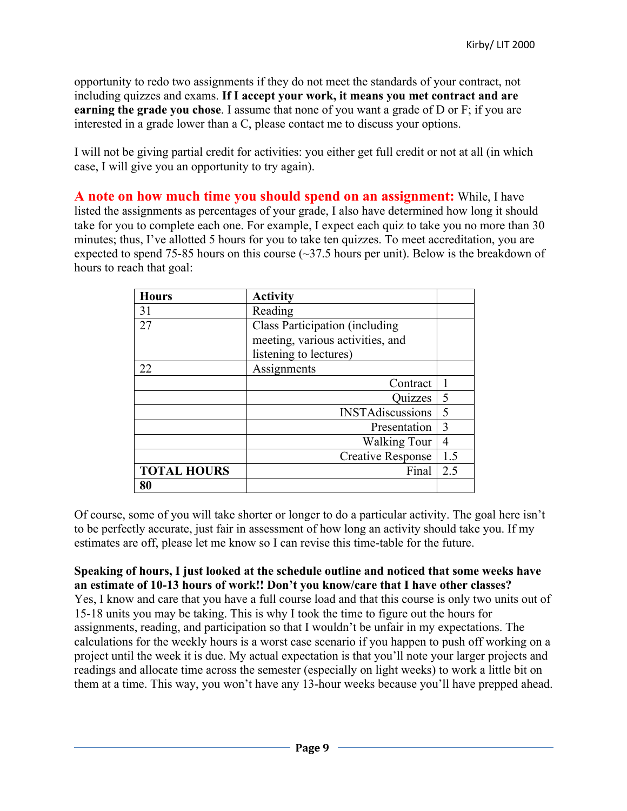opportunity to redo two assignments if they do not meet the standards of your contract, not including quizzes and exams. **If I accept your work, it means you met contract and are earning the grade you chose**. I assume that none of you want a grade of D or F; if you are interested in a grade lower than a C, please contact me to discuss your options.

I will not be giving partial credit for activities: you either get full credit or not at all (in which case, I will give you an opportunity to try again).

**A note on how much time you should spend on an assignment:** While, I have listed the assignments as percentages of your grade, I also have determined how long it should take for you to complete each one. For example, I expect each quiz to take you no more than 30 minutes; thus, I've allotted 5 hours for you to take ten quizzes. To meet accreditation, you are expected to spend 75-85 hours on this course  $(\sim]37.5$  hours per unit). Below is the breakdown of hours to reach that goal:

| <b>Hours</b>       | <b>Activity</b>                  |     |
|--------------------|----------------------------------|-----|
| 31                 | Reading                          |     |
| 27                 | Class Participation (including   |     |
|                    | meeting, various activities, and |     |
|                    | listening to lectures)           |     |
| 22                 | Assignments                      |     |
|                    | Contract                         |     |
|                    | Quizzes                          | 5   |
|                    | <b>INSTAdiscussions</b>          | 5   |
|                    | Presentation                     | 3   |
|                    | <b>Walking Tour</b>              | 4   |
|                    | <b>Creative Response</b>         | 1.5 |
| <b>TOTAL HOURS</b> | Final                            | 2.5 |
| 80                 |                                  |     |

Of course, some of you will take shorter or longer to do a particular activity. The goal here isn't to be perfectly accurate, just fair in assessment of how long an activity should take you. If my estimates are off, please let me know so I can revise this time-table for the future.

**Speaking of hours, I just looked at the schedule outline and noticed that some weeks have an estimate of 10-13 hours of work!! Don't you know/care that I have other classes?** Yes, I know and care that you have a full course load and that this course is only two units out of 15-18 units you may be taking. This is why I took the time to figure out the hours for assignments, reading, and participation so that I wouldn't be unfair in my expectations. The calculations for the weekly hours is a worst case scenario if you happen to push off working on a project until the week it is due. My actual expectation is that you'll note your larger projects and readings and allocate time across the semester (especially on light weeks) to work a little bit on them at a time. This way, you won't have any 13-hour weeks because you'll have prepped ahead.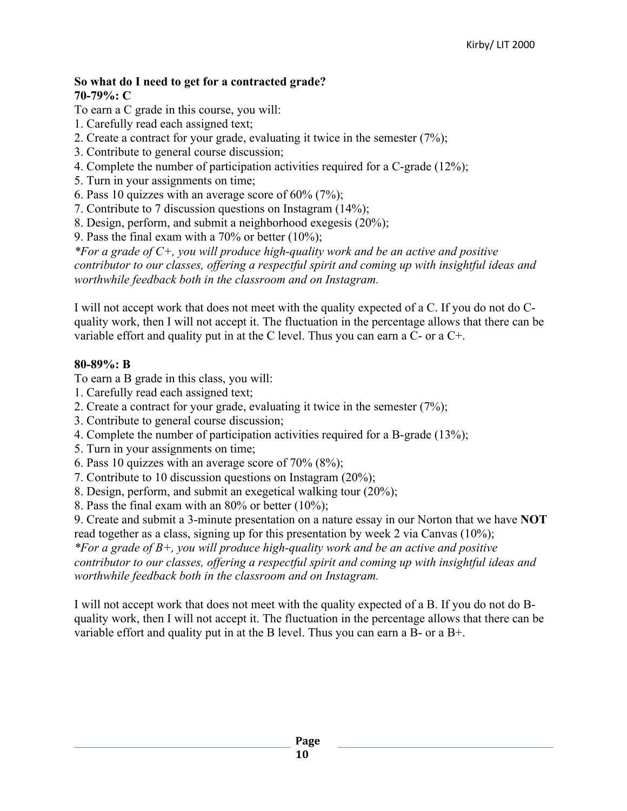#### **So what do I need to get for a contracted grade? 70-79%: C**

To earn a C grade in this course, you will:

- 1. Carefully read each assigned text;
- 2. Create a contract for your grade, evaluating it twice in the semester (7%);
- 3. Contribute to general course discussion;
- 4. Complete the number of participation activities required for a C-grade (12%);
- 5. Turn in your assignments on time;
- 6. Pass 10 quizzes with an average score of  $60\%$  (7%);
- 7. Contribute to 7 discussion questions on Instagram (14%);
- 8. Design, perform, and submit a neighborhood exegesis (20%);
- 9. Pass the final exam with a  $70\%$  or better  $(10\%);$

*\*For a grade of C+, you will produce high-quality work and be an active and positive contributor to our classes, offering a respectful spirit and coming up with insightful ideas and worthwhile feedback both in the classroom and on Instagram.*

I will not accept work that does not meet with the quality expected of a C. If you do not do Cquality work, then I will not accept it. The fluctuation in the percentage allows that there can be variable effort and quality put in at the C level. Thus you can earn a C- or a C+.

#### **80-89%: B**

To earn a B grade in this class, you will:

- 1. Carefully read each assigned text;
- 2. Create a contract for your grade, evaluating it twice in the semester (7%);
- 3. Contribute to general course discussion;
- 4. Complete the number of participation activities required for a B-grade (13%);
- 5. Turn in your assignments on time;
- 6. Pass 10 quizzes with an average score of 70% (8%);
- 7. Contribute to 10 discussion questions on Instagram (20%);
- 8. Design, perform, and submit an exegetical walking tour (20%);
- 8. Pass the final exam with an 80% or better (10%);

9. Create and submit a 3-minute presentation on a nature essay in our Norton that we have **NOT** read together as a class, signing up for this presentation by week 2 via Canvas (10%);

*\*For a grade of B+, you will produce high-quality work and be an active and positive contributor to our classes, offering a respectful spirit and coming up with insightful ideas and worthwhile feedback both in the classroom and on Instagram.*

I will not accept work that does not meet with the quality expected of a B. If you do not do Bquality work, then I will not accept it. The fluctuation in the percentage allows that there can be variable effort and quality put in at the B level. Thus you can earn a B- or a B+.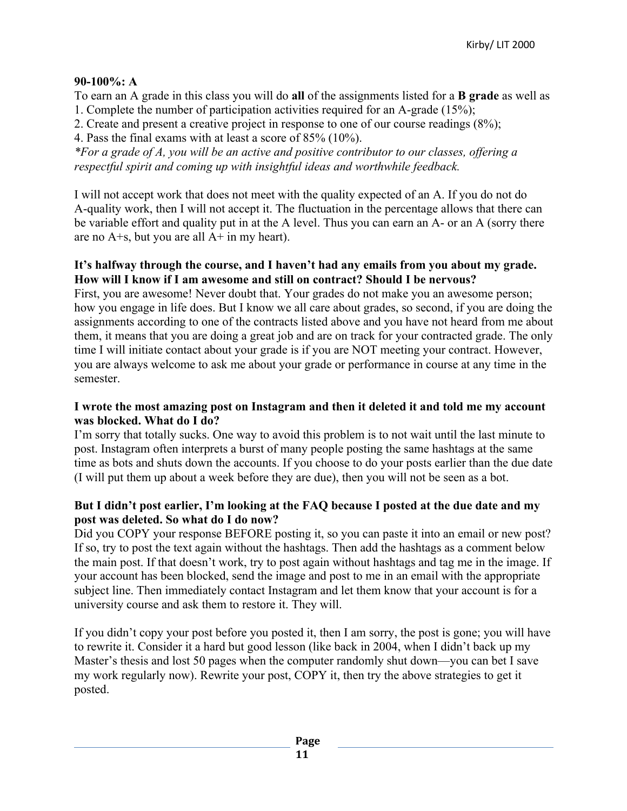# **90-100%: A**

To earn an A grade in this class you will do **all** of the assignments listed for a **B grade** as well as 1. Complete the number of participation activities required for an A-grade (15%);

2. Create and present a creative project in response to one of our course readings (8%);

4. Pass the final exams with at least a score of 85% (10%).

*\*For a grade of A, you will be an active and positive contributor to our classes, offering a respectful spirit and coming up with insightful ideas and worthwhile feedback.*

I will not accept work that does not meet with the quality expected of an A. If you do not do A-quality work, then I will not accept it. The fluctuation in the percentage allows that there can be variable effort and quality put in at the A level. Thus you can earn an A- or an A (sorry there are no  $A + s$ , but you are all  $A + in$  my heart).

## **It's halfway through the course, and I haven't had any emails from you about my grade. How will I know if I am awesome and still on contract? Should I be nervous?**

First, you are awesome! Never doubt that. Your grades do not make you an awesome person; how you engage in life does. But I know we all care about grades, so second, if you are doing the assignments according to one of the contracts listed above and you have not heard from me about them, it means that you are doing a great job and are on track for your contracted grade. The only time I will initiate contact about your grade is if you are NOT meeting your contract. However, you are always welcome to ask me about your grade or performance in course at any time in the semester.

## **I wrote the most amazing post on Instagram and then it deleted it and told me my account was blocked. What do I do?**

I'm sorry that totally sucks. One way to avoid this problem is to not wait until the last minute to post. Instagram often interprets a burst of many people posting the same hashtags at the same time as bots and shuts down the accounts. If you choose to do your posts earlier than the due date (I will put them up about a week before they are due), then you will not be seen as a bot.

## **But I didn't post earlier, I'm looking at the FAQ because I posted at the due date and my post was deleted. So what do I do now?**

Did you COPY your response BEFORE posting it, so you can paste it into an email or new post? If so, try to post the text again without the hashtags. Then add the hashtags as a comment below the main post. If that doesn't work, try to post again without hashtags and tag me in the image. If your account has been blocked, send the image and post to me in an email with the appropriate subject line. Then immediately contact Instagram and let them know that your account is for a university course and ask them to restore it. They will.

If you didn't copy your post before you posted it, then I am sorry, the post is gone; you will have to rewrite it. Consider it a hard but good lesson (like back in 2004, when I didn't back up my Master's thesis and lost 50 pages when the computer randomly shut down—you can bet I save my work regularly now). Rewrite your post, COPY it, then try the above strategies to get it posted.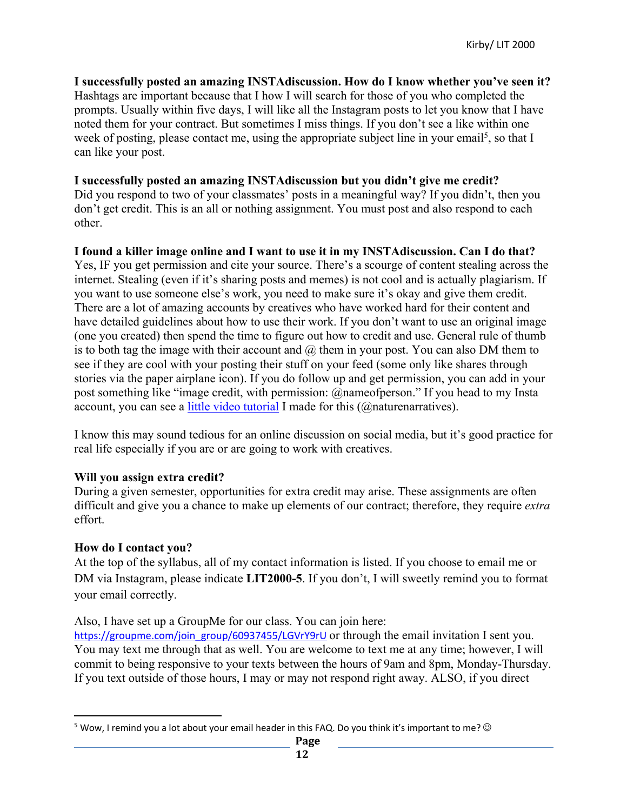**I successfully posted an amazing INSTAdiscussion. How do I know whether you've seen it?** Hashtags are important because that I how I will search for those of you who completed the prompts. Usually within five days, I will like all the Instagram posts to let you know that I have noted them for your contract. But sometimes I miss things. If you don't see a like within one week of posting, please contact me, using the appropriate subject line in your email<sup>5</sup>, so that I can like your post.

#### **I successfully posted an amazing INSTAdiscussion but you didn't give me credit?**

Did you respond to two of your classmates' posts in a meaningful way? If you didn't, then you don't get credit. This is an all or nothing assignment. You must post and also respond to each other.

#### **I found a killer image online and I want to use it in my INSTAdiscussion. Can I do that?**

Yes, IF you get permission and cite your source. There's a scourge of content stealing across the internet. Stealing (even if it's sharing posts and memes) is not cool and is actually plagiarism. If you want to use someone else's work, you need to make sure it's okay and give them credit. There are a lot of amazing accounts by creatives who have worked hard for their content and have detailed guidelines about how to use their work. If you don't want to use an original image (one you created) then spend the time to figure out how to credit and use. General rule of thumb is to both tag the image with their account and  $(a)$  them in your post. You can also DM them to see if they are cool with your posting their stuff on your feed (some only like shares through stories via the paper airplane icon). If you do follow up and get permission, you can add in your post something like "image credit, with permission: @nameofperson." If you head to my Insta account, you can see a little video tutorial I made for this (@naturenarratives).

I know this may sound tedious for an online discussion on social media, but it's good practice for real life especially if you are or are going to work with creatives.

## **Will you assign extra credit?**

During a given semester, opportunities for extra credit may arise. These assignments are often difficult and give you a chance to make up elements of our contract; therefore, they require *extra*  effort.

## **How do I contact you?**

At the top of the syllabus, all of my contact information is listed. If you choose to email me or DM via Instagram, please indicate **LIT2000-5**. If you don't, I will sweetly remind you to format your email correctly.

Also, I have set up a GroupMe for our class. You can join here:

https://groupme.com/join\_group/60937455/LGVrY9rU or through the email invitation I sent you. You may text me through that as well. You are welcome to text me at any time; however, I will commit to being responsive to your texts between the hours of 9am and 8pm, Monday-Thursday. If you text outside of those hours, I may or may not respond right away. ALSO, if you direct

<sup>&</sup>lt;sup>5</sup> Wow, I remind you a lot about your email header in this FAQ. Do you think it's important to me?  $\odot$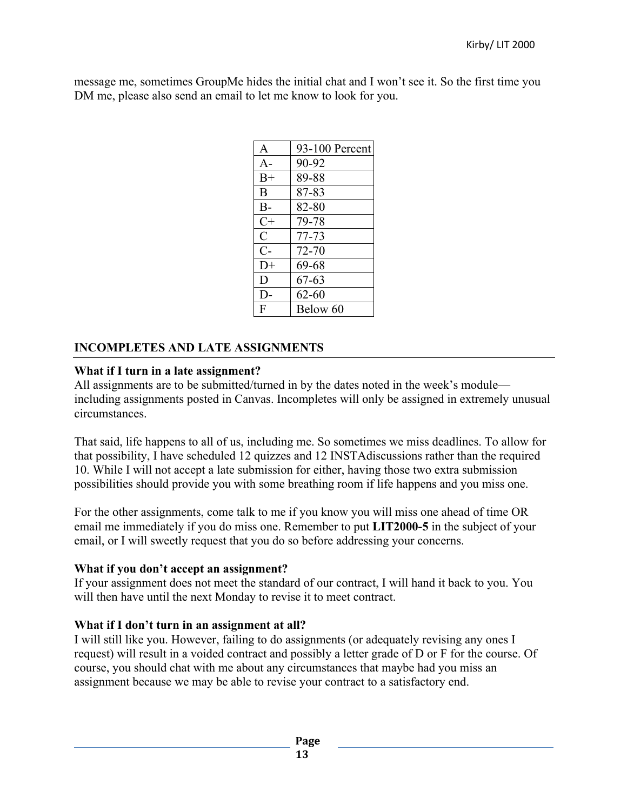message me, sometimes GroupMe hides the initial chat and I won't see it. So the first time you DM me, please also send an email to let me know to look for you.

| A              | 93-100 Percent |
|----------------|----------------|
| $A -$          | 90-92          |
| $B+$           | 89-88          |
| R              | 87-83          |
| $B -$          | 82-80          |
| $C+$           | 79-78          |
| $\overline{C}$ | 77-73          |
| $C-$           | 72-70          |
| $D+$           | 69-68          |
| D              | 67-63          |
| D-             | $62 - 60$      |
| F              | Below 60       |

# **INCOMPLETES AND LATE ASSIGNMENTS**

#### **What if I turn in a late assignment?**

All assignments are to be submitted/turned in by the dates noted in the week's module including assignments posted in Canvas. Incompletes will only be assigned in extremely unusual circumstances.

That said, life happens to all of us, including me. So sometimes we miss deadlines. To allow for that possibility, I have scheduled 12 quizzes and 12 INSTAdiscussions rather than the required 10. While I will not accept a late submission for either, having those two extra submission possibilities should provide you with some breathing room if life happens and you miss one.

For the other assignments, come talk to me if you know you will miss one ahead of time OR email me immediately if you do miss one. Remember to put **LIT2000-5** in the subject of your email, or I will sweetly request that you do so before addressing your concerns.

## **What if you don't accept an assignment?**

If your assignment does not meet the standard of our contract, I will hand it back to you. You will then have until the next Monday to revise it to meet contract.

## **What if I don't turn in an assignment at all?**

I will still like you. However, failing to do assignments (or adequately revising any ones I request) will result in a voided contract and possibly a letter grade of D or F for the course. Of course, you should chat with me about any circumstances that maybe had you miss an assignment because we may be able to revise your contract to a satisfactory end.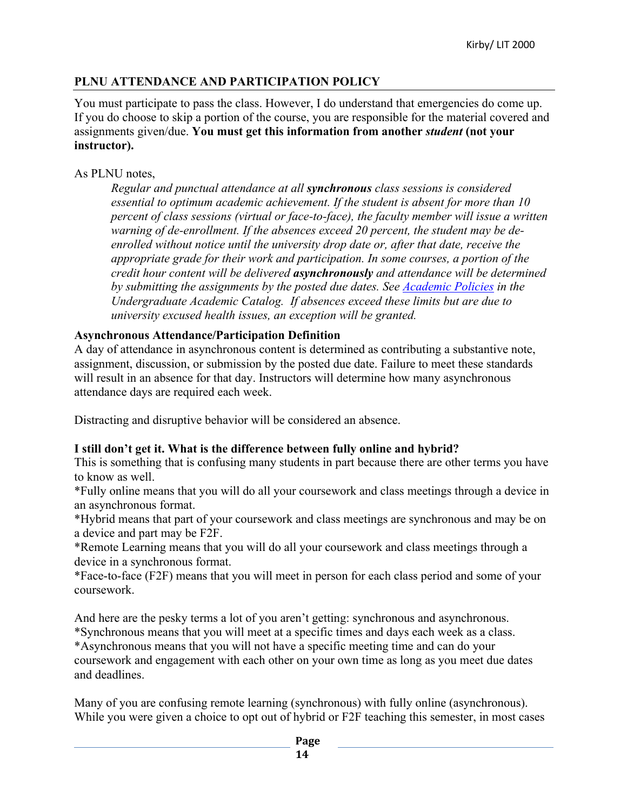# **PLNU ATTENDANCE AND PARTICIPATION POLICY**

You must participate to pass the class. However, I do understand that emergencies do come up. If you do choose to skip a portion of the course, you are responsible for the material covered and assignments given/due. **You must get this information from another** *student* **(not your instructor).** 

## As PLNU notes,

*Regular and punctual attendance at all synchronous class sessions is considered essential to optimum academic achievement. If the student is absent for more than 10 percent of class sessions (virtual or face-to-face), the faculty member will issue a written warning of de-enrollment. If the absences exceed 20 percent, the student may be deenrolled without notice until the university drop date or, after that date, receive the appropriate grade for their work and participation. In some courses, a portion of the credit hour content will be delivered asynchronously and attendance will be determined by submitting the assignments by the posted due dates. See Academic Policies in the Undergraduate Academic Catalog. If absences exceed these limits but are due to university excused health issues, an exception will be granted.*

## **Asynchronous Attendance/Participation Definition**

A day of attendance in asynchronous content is determined as contributing a substantive note, assignment, discussion, or submission by the posted due date. Failure to meet these standards will result in an absence for that day. Instructors will determine how many asynchronous attendance days are required each week.

Distracting and disruptive behavior will be considered an absence.

## **I still don't get it. What is the difference between fully online and hybrid?**

This is something that is confusing many students in part because there are other terms you have to know as well.

\*Fully online means that you will do all your coursework and class meetings through a device in an asynchronous format.

\*Hybrid means that part of your coursework and class meetings are synchronous and may be on a device and part may be F2F.

\*Remote Learning means that you will do all your coursework and class meetings through a device in a synchronous format.

\*Face-to-face (F2F) means that you will meet in person for each class period and some of your coursework.

And here are the pesky terms a lot of you aren't getting: synchronous and asynchronous. \*Synchronous means that you will meet at a specific times and days each week as a class. \*Asynchronous means that you will not have a specific meeting time and can do your coursework and engagement with each other on your own time as long as you meet due dates and deadlines.

Many of you are confusing remote learning (synchronous) with fully online (asynchronous). While you were given a choice to opt out of hybrid or F2F teaching this semester, in most cases

**Page**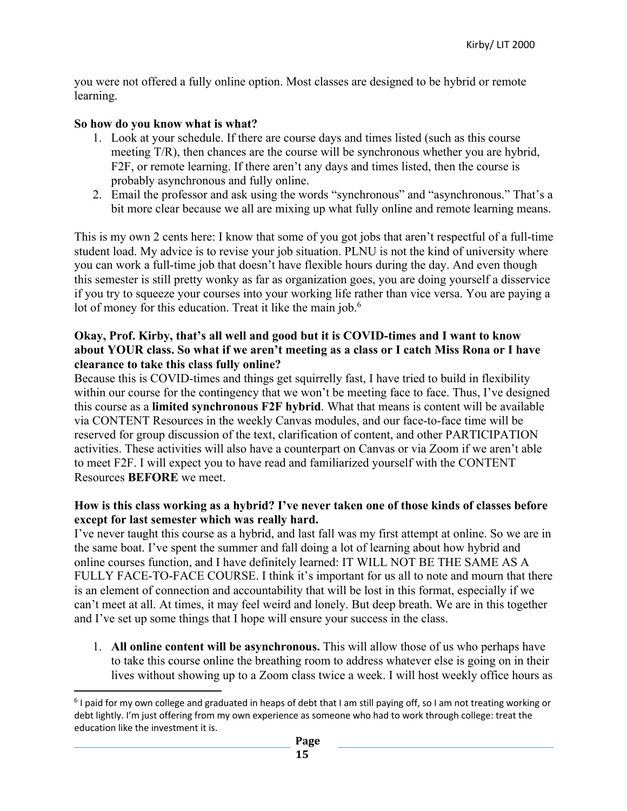you were not offered a fully online option. Most classes are designed to be hybrid or remote learning.

## **So how do you know what is what?**

- 1. Look at your schedule. If there are course days and times listed (such as this course meeting T/R), then chances are the course will be synchronous whether you are hybrid, F2F, or remote learning. If there aren't any days and times listed, then the course is probably asynchronous and fully online.
- 2. Email the professor and ask using the words "synchronous" and "asynchronous." That's a bit more clear because we all are mixing up what fully online and remote learning means.

This is my own 2 cents here: I know that some of you got jobs that aren't respectful of a full-time student load. My advice is to revise your job situation. PLNU is not the kind of university where you can work a full-time job that doesn't have flexible hours during the day. And even though this semester is still pretty wonky as far as organization goes, you are doing yourself a disservice if you try to squeeze your courses into your working life rather than vice versa. You are paying a lot of money for this education. Treat it like the main job.<sup>6</sup>

## **Okay, Prof. Kirby, that's all well and good but it is COVID-times and I want to know about YOUR class. So what if we aren't meeting as a class or I catch Miss Rona or I have clearance to take this class fully online?**

Because this is COVID-times and things get squirrelly fast, I have tried to build in flexibility within our course for the contingency that we won't be meeting face to face. Thus, I've designed this course as a **limited synchronous F2F hybrid**. What that means is content will be available via CONTENT Resources in the weekly Canvas modules, and our face-to-face time will be reserved for group discussion of the text, clarification of content, and other PARTICIPATION activities. These activities will also have a counterpart on Canvas or via Zoom if we aren't able to meet F2F. I will expect you to have read and familiarized yourself with the CONTENT Resources **BEFORE** we meet.

## **How is this class working as a hybrid? I've never taken one of those kinds of classes before except for last semester which was really hard.**

I've never taught this course as a hybrid, and last fall was my first attempt at online. So we are in the same boat. I've spent the summer and fall doing a lot of learning about how hybrid and online courses function, and I have definitely learned: IT WILL NOT BE THE SAME AS A FULLY FACE-TO-FACE COURSE. I think it's important for us all to note and mourn that there is an element of connection and accountability that will be lost in this format, especially if we can't meet at all. At times, it may feel weird and lonely. But deep breath. We are in this together and I've set up some things that I hope will ensure your success in the class.

1. **All online content will be asynchronous.** This will allow those of us who perhaps have to take this course online the breathing room to address whatever else is going on in their lives without showing up to a Zoom class twice a week. I will host weekly office hours as

<sup>&</sup>lt;sup>6</sup> I paid for my own college and graduated in heaps of debt that I am still paying off, so I am not treating working or debt lightly. I'm just offering from my own experience as someone who had to work through college: treat the education like the investment it is.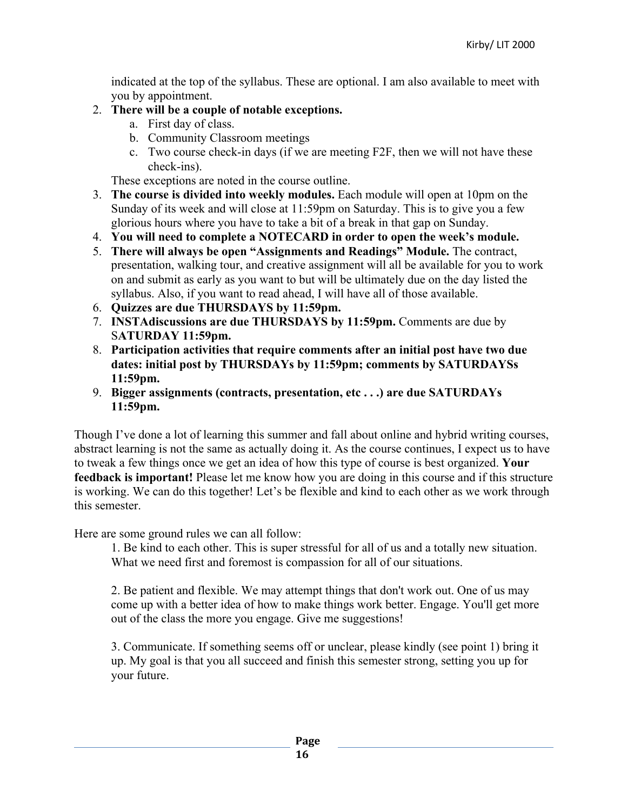indicated at the top of the syllabus. These are optional. I am also available to meet with you by appointment.

## 2. **There will be a couple of notable exceptions.**

- a. First day of class.
- b. Community Classroom meetings
- c. Two course check-in days (if we are meeting F2F, then we will not have these check-ins).

These exceptions are noted in the course outline.

- 3. **The course is divided into weekly modules.** Each module will open at 10pm on the Sunday of its week and will close at 11:59pm on Saturday. This is to give you a few glorious hours where you have to take a bit of a break in that gap on Sunday.
- 4. **You will need to complete a NOTECARD in order to open the week's module.**
- 5. **There will always be open "Assignments and Readings" Module.** The contract, presentation, walking tour, and creative assignment will all be available for you to work on and submit as early as you want to but will be ultimately due on the day listed the syllabus. Also, if you want to read ahead, I will have all of those available.
- 6. **Quizzes are due THURSDAYS by 11:59pm.**
- 7. **INSTAdiscussions are due THURSDAYS by 11:59pm.** Comments are due by S**ATURDAY 11:59pm.**
- 8. **Participation activities that require comments after an initial post have two due dates: initial post by THURSDAYs by 11:59pm; comments by SATURDAYSs 11:59pm.**
- 9. **Bigger assignments (contracts, presentation, etc . . .) are due SATURDAYs 11:59pm.**

Though I've done a lot of learning this summer and fall about online and hybrid writing courses, abstract learning is not the same as actually doing it. As the course continues, I expect us to have to tweak a few things once we get an idea of how this type of course is best organized. **Your feedback is important!** Please let me know how you are doing in this course and if this structure is working. We can do this together! Let's be flexible and kind to each other as we work through this semester.

Here are some ground rules we can all follow:

1. Be kind to each other. This is super stressful for all of us and a totally new situation. What we need first and foremost is compassion for all of our situations.

2. Be patient and flexible. We may attempt things that don't work out. One of us may come up with a better idea of how to make things work better. Engage. You'll get more out of the class the more you engage. Give me suggestions!

3. Communicate. If something seems off or unclear, please kindly (see point 1) bring it up. My goal is that you all succeed and finish this semester strong, setting you up for your future.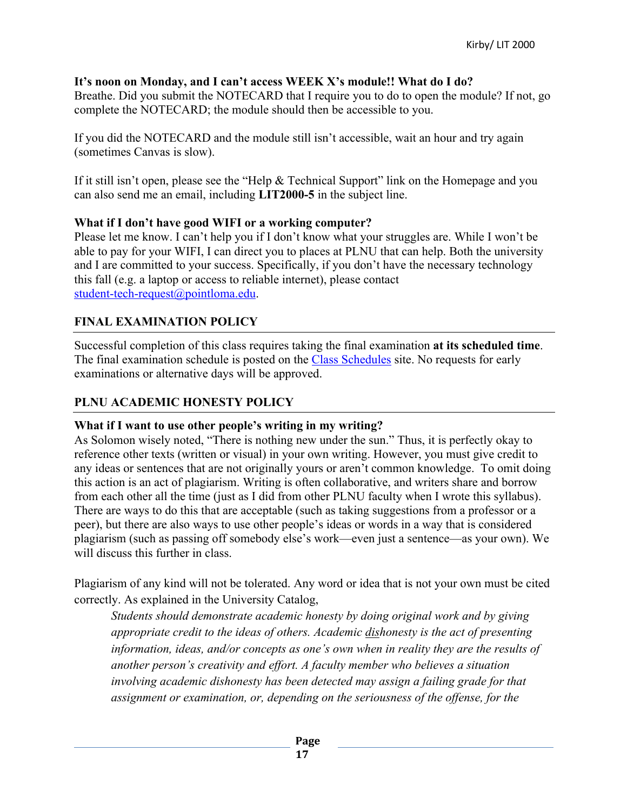## **It's noon on Monday, and I can't access WEEK X's module!! What do I do?**

Breathe. Did you submit the NOTECARD that I require you to do to open the module? If not, go complete the NOTECARD; the module should then be accessible to you.

If you did the NOTECARD and the module still isn't accessible, wait an hour and try again (sometimes Canvas is slow).

If it still isn't open, please see the "Help & Technical Support" link on the Homepage and you can also send me an email, including **LIT2000-5** in the subject line.

## **What if I don't have good WIFI or a working computer?**

Please let me know. I can't help you if I don't know what your struggles are. While I won't be able to pay for your WIFI, I can direct you to places at PLNU that can help. Both the university and I are committed to your success. Specifically, if you don't have the necessary technology this fall (e.g. a laptop or access to reliable internet), please contact student-tech-request@pointloma.edu.

# **FINAL EXAMINATION POLICY**

Successful completion of this class requires taking the final examination **at its scheduled time**. The final examination schedule is posted on the Class Schedules site. No requests for early examinations or alternative days will be approved.

# **PLNU ACADEMIC HONESTY POLICY**

# **What if I want to use other people's writing in my writing?**

As Solomon wisely noted, "There is nothing new under the sun." Thus, it is perfectly okay to reference other texts (written or visual) in your own writing. However, you must give credit to any ideas or sentences that are not originally yours or aren't common knowledge. To omit doing this action is an act of plagiarism. Writing is often collaborative, and writers share and borrow from each other all the time (just as I did from other PLNU faculty when I wrote this syllabus). There are ways to do this that are acceptable (such as taking suggestions from a professor or a peer), but there are also ways to use other people's ideas or words in a way that is considered plagiarism (such as passing off somebody else's work—even just a sentence—as your own). We will discuss this further in class.

Plagiarism of any kind will not be tolerated. Any word or idea that is not your own must be cited correctly. As explained in the University Catalog,

*Students should demonstrate academic honesty by doing original work and by giving appropriate credit to the ideas of others. Academic dishonesty is the act of presenting information, ideas, and/or concepts as one's own when in reality they are the results of another person's creativity and effort. A faculty member who believes a situation involving academic dishonesty has been detected may assign a failing grade for that assignment or examination, or, depending on the seriousness of the offense, for the*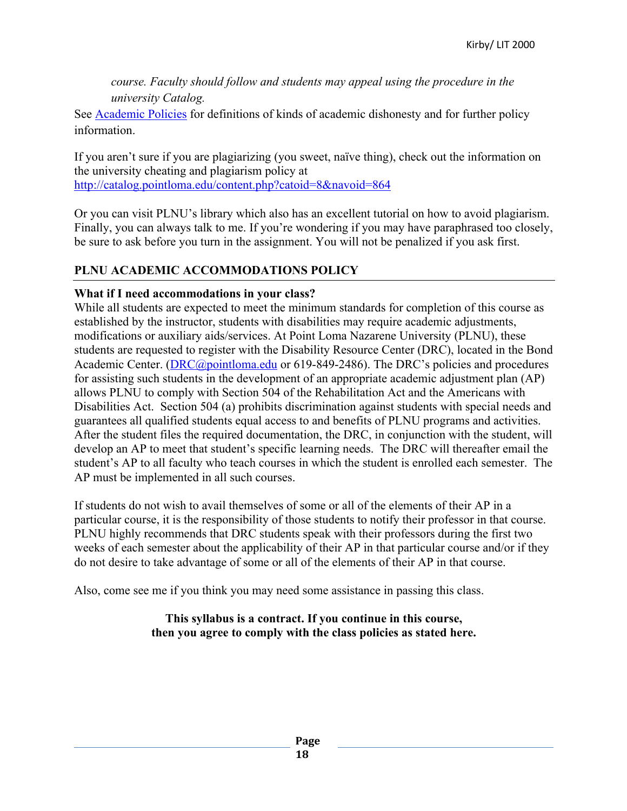*course. Faculty should follow and students may appeal using the procedure in the university Catalog.*

See Academic Policies for definitions of kinds of academic dishonesty and for further policy information.

If you aren't sure if you are plagiarizing (you sweet, naïve thing), check out the information on the university cheating and plagiarism policy at http://catalog.pointloma.edu/content.php?catoid=8&navoid=864

Or you can visit PLNU's library which also has an excellent tutorial on how to avoid plagiarism. Finally, you can always talk to me. If you're wondering if you may have paraphrased too closely, be sure to ask before you turn in the assignment. You will not be penalized if you ask first.

# **PLNU ACADEMIC ACCOMMODATIONS POLICY**

## **What if I need accommodations in your class?**

While all students are expected to meet the minimum standards for completion of this course as established by the instructor, students with disabilities may require academic adjustments, modifications or auxiliary aids/services. At Point Loma Nazarene University (PLNU), these students are requested to register with the Disability Resource Center (DRC), located in the Bond Academic Center. (DRC@pointloma.edu or 619-849-2486). The DRC's policies and procedures for assisting such students in the development of an appropriate academic adjustment plan (AP) allows PLNU to comply with Section 504 of the Rehabilitation Act and the Americans with Disabilities Act. Section 504 (a) prohibits discrimination against students with special needs and guarantees all qualified students equal access to and benefits of PLNU programs and activities. After the student files the required documentation, the DRC, in conjunction with the student, will develop an AP to meet that student's specific learning needs. The DRC will thereafter email the student's AP to all faculty who teach courses in which the student is enrolled each semester. The AP must be implemented in all such courses.

If students do not wish to avail themselves of some or all of the elements of their AP in a particular course, it is the responsibility of those students to notify their professor in that course. PLNU highly recommends that DRC students speak with their professors during the first two weeks of each semester about the applicability of their AP in that particular course and/or if they do not desire to take advantage of some or all of the elements of their AP in that course.

Also, come see me if you think you may need some assistance in passing this class.

## **This syllabus is a contract. If you continue in this course, then you agree to comply with the class policies as stated here.**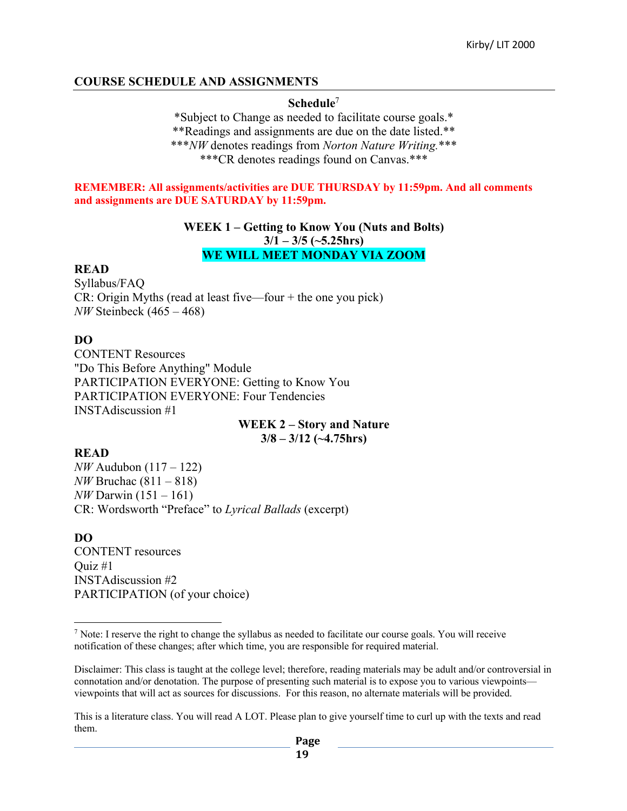## **COURSE SCHEDULE AND ASSIGNMENTS**

#### **Schedule**<sup>7</sup>

\*Subject to Change as needed to facilitate course goals.\* \*\*Readings and assignments are due on the date listed.\*\* \*\*\**NW* denotes readings from *Norton Nature Writing.*\*\*\* \*\*\*CR denotes readings found on Canvas.\*\*\*

#### **REMEMBER: All assignments/activities are DUE THURSDAY by 11:59pm. And all comments and assignments are DUE SATURDAY by 11:59pm.**

#### **WEEK 1 – Getting to Know You (Nuts and Bolts) 3/1 – 3/5 (~5.25hrs) WE WILL MEET MONDAY VIA ZOOM**

#### **READ**

Syllabus/FAQ CR: Origin Myths (read at least five—four + the one you pick) *NW* Steinbeck (465 – 468)

#### **DO**

CONTENT Resources "Do This Before Anything" Module PARTICIPATION EVERYONE: Getting to Know You PARTICIPATION EVERYONE: Four Tendencies INSTAdiscussion #1

> **WEEK 2 – Story and Nature 3/8 – 3/12 (~4.75hrs)**

#### **READ**

*NW* Audubon (117 – 122) *NW* Bruchac (811 – 818) *NW* Darwin (151 – 161) CR: Wordsworth "Preface" to *Lyrical Ballads* (excerpt)

#### **DO**

CONTENT resources Quiz #1 INSTAdiscussion #2 PARTICIPATION (of your choice)

<sup>7</sup> Note: I reserve the right to change the syllabus as needed to facilitate our course goals. You will receive notification of these changes; after which time, you are responsible for required material.

Disclaimer: This class is taught at the college level; therefore, reading materials may be adult and/or controversial in connotation and/or denotation. The purpose of presenting such material is to expose you to various viewpoints viewpoints that will act as sources for discussions. For this reason, no alternate materials will be provided.

This is a literature class. You will read A LOT. Please plan to give yourself time to curl up with the texts and read them.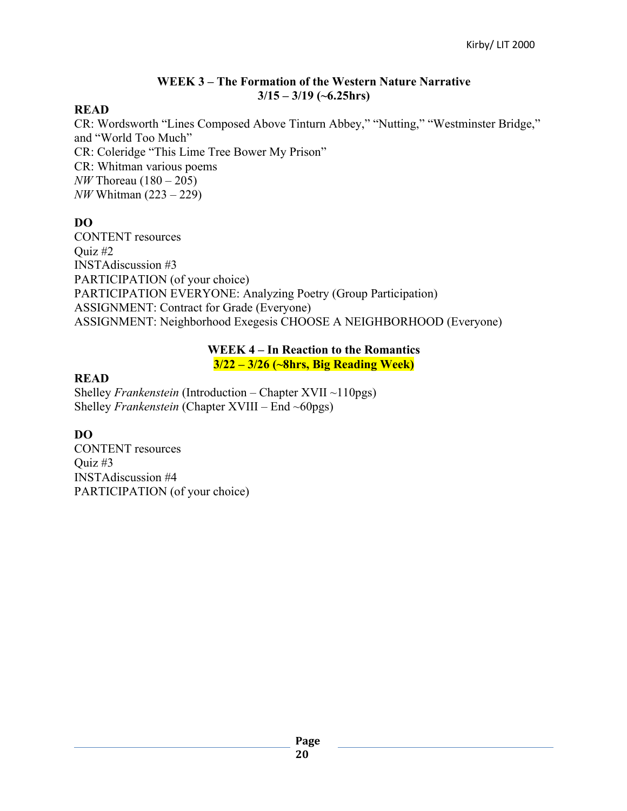## **WEEK 3 – The Formation of the Western Nature Narrative 3/15 – 3/19 (~6.25hrs)**

## **READ**

CR: Wordsworth "Lines Composed Above Tinturn Abbey," "Nutting," "Westminster Bridge," and "World Too Much" CR: Coleridge "This Lime Tree Bower My Prison" CR: Whitman various poems *NW* Thoreau (180 – 205) *NW* Whitman (223 – 229)

# **DO**

CONTENT resources Ouiz  $#2$ INSTAdiscussion #3 PARTICIPATION (of your choice) PARTICIPATION EVERYONE: Analyzing Poetry (Group Participation) ASSIGNMENT: Contract for Grade (Everyone) ASSIGNMENT: Neighborhood Exegesis CHOOSE A NEIGHBORHOOD (Everyone)

#### **WEEK 4 – In Reaction to the Romantics 3/22 – 3/26 (~8hrs, Big Reading Week)**

# **READ**

Shelley *Frankenstein* (Introduction – Chapter XVII ~110pgs) Shelley *Frankenstein* (Chapter XVIII – End ~60pgs)

# **DO**

CONTENT resources Ouiz  $#3$ INSTAdiscussion #4 PARTICIPATION (of your choice)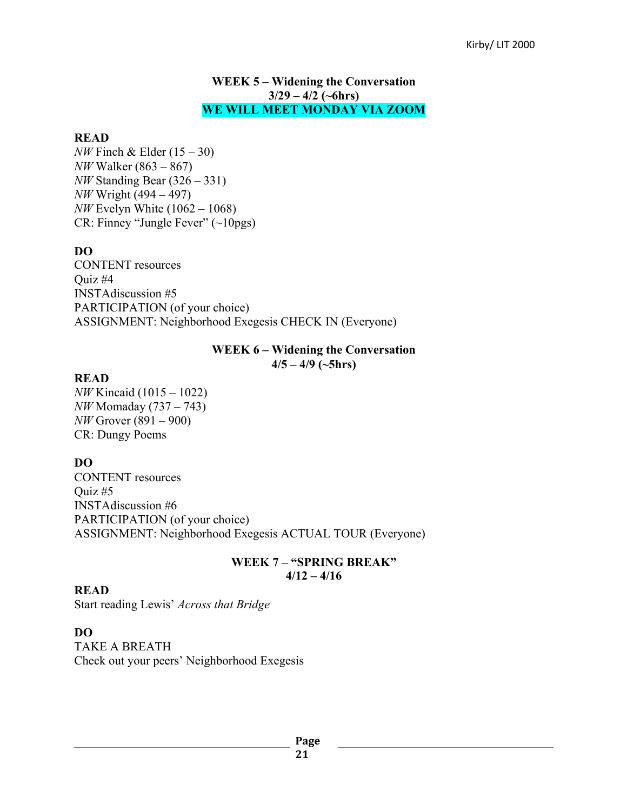#### **WEEK 5 – Widening the Conversation 3/29 – 4/2 (~6hrs) WE WILL MEET MONDAY VIA ZOOM**

#### **READ**

*NW* Finch & Elder (15 – 30) *NW* Walker (863 – 867) *NW* Standing Bear (326 – 331) *NW* Wright (494 – 497) *NW* Evelyn White (1062 – 1068) CR: Finney "Jungle Fever" (~10pgs)

## **DO**

CONTENT resources Quiz #4 INSTAdiscussion #5 PARTICIPATION (of your choice) ASSIGNMENT: Neighborhood Exegesis CHECK IN (Everyone)

#### **WEEK 6 – Widening the Conversation 4/5 – 4/9 (~5hrs)**

#### **READ**

*NW* Kincaid (1015 – 1022) *NW* Momaday (737 – 743) *NW* Grover (891 – 900) CR: Dungy Poems

#### **DO**

CONTENT resources Ouiz  $#5$ INSTAdiscussion #6 PARTICIPATION (of your choice) ASSIGNMENT: Neighborhood Exegesis ACTUAL TOUR (Everyone)

#### **WEEK 7 – "SPRING BREAK" 4/12 – 4/16**

#### **READ**

Start reading Lewis' *Across that Bridge*

#### **DO**

TAKE A BREATH Check out your peers' Neighborhood Exegesis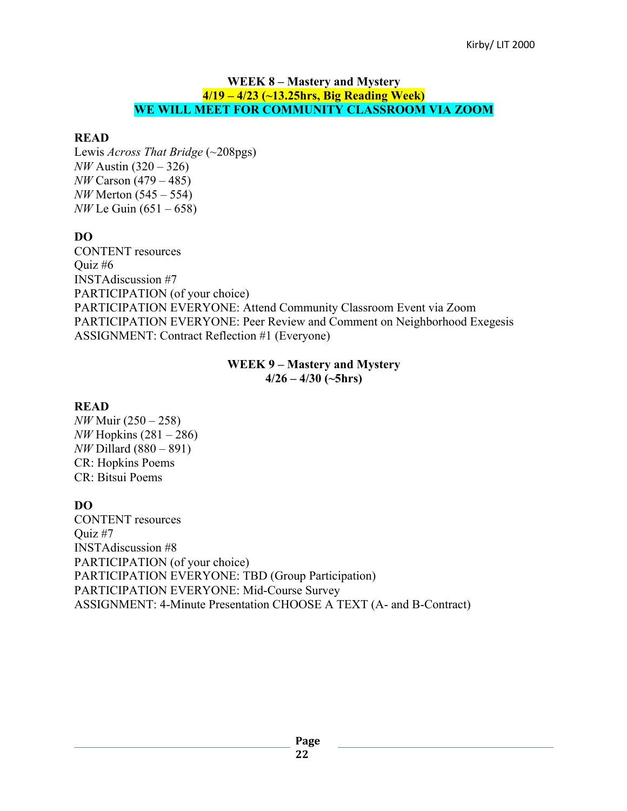#### **WEEK 8 – Mastery and Mystery 4/19 – 4/23 (~13.25hrs, Big Reading Week) WE WILL MEET FOR COMMUNITY CLASSROOM VIA ZOOM**

## **READ**

Lewis *Across That Bridge* (~208pgs) *NW* Austin (320 – 326) *NW* Carson (479 – 485) *NW* Merton (545 – 554) *NW* Le Guin (651 – 658)

# **DO**

CONTENT resources Quiz #6 INSTAdiscussion #7 PARTICIPATION (of your choice) PARTICIPATION EVERYONE: Attend Community Classroom Event via Zoom PARTICIPATION EVERYONE: Peer Review and Comment on Neighborhood Exegesis ASSIGNMENT: Contract Reflection #1 (Everyone)

#### **WEEK 9 – Mastery and Mystery 4/26 – 4/30 (~5hrs)**

## **READ**

*NW* Muir (250 – 258) *NW* Hopkins (281 – 286) *NW* Dillard (880 – 891) CR: Hopkins Poems CR: Bitsui Poems

# **DO**

CONTENT resources Quiz #7 INSTAdiscussion #8 PARTICIPATION (of your choice) PARTICIPATION EVERYONE: TBD (Group Participation) PARTICIPATION EVERYONE: Mid-Course Survey ASSIGNMENT: 4-Minute Presentation CHOOSE A TEXT (A- and B-Contract)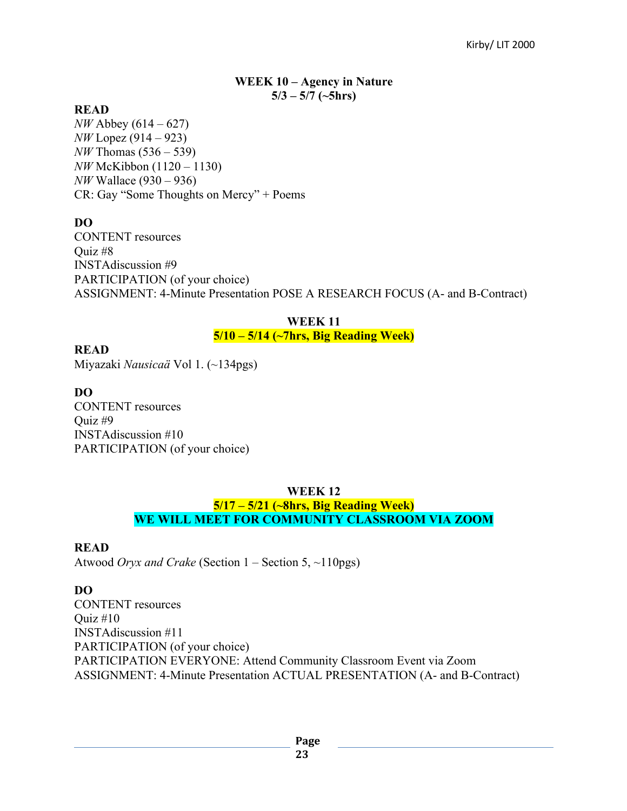#### **WEEK 10 – Agency in Nature 5/3 – 5/7 (~5hrs)**

#### **READ**

*NW* Abbey (614 – 627) *NW* Lopez (914 – 923) *NW* Thomas (536 – 539) *NW* McKibbon (1120 – 1130) *NW* Wallace (930 – 936) CR: Gay "Some Thoughts on Mercy" + Poems

#### **DO**

CONTENT resources Quiz #8 INSTAdiscussion #9 PARTICIPATION (of your choice) ASSIGNMENT: 4-Minute Presentation POSE A RESEARCH FOCUS (A- and B-Contract)

## **WEEK 11 5/10 – 5/14 (~7hrs, Big Reading Week)**

**READ**

Miyazaki *Nausicaä* Vol 1. (~134pgs)

#### **DO**

CONTENT resources Quiz #9 INSTAdiscussion #10 PARTICIPATION (of your choice)

## **WEEK 12 5/17 – 5/21 (~8hrs, Big Reading Week) WE WILL MEET FOR COMMUNITY CLASSROOM VIA ZOOM**

#### **READ**

Atwood *Oryx and Crake* (Section 1 – Section 5, ~110pgs)

#### **DO**

CONTENT resources Ouiz  $#10$ INSTAdiscussion #11 PARTICIPATION (of your choice) PARTICIPATION EVERYONE: Attend Community Classroom Event via Zoom ASSIGNMENT: 4-Minute Presentation ACTUAL PRESENTATION (A- and B-Contract)